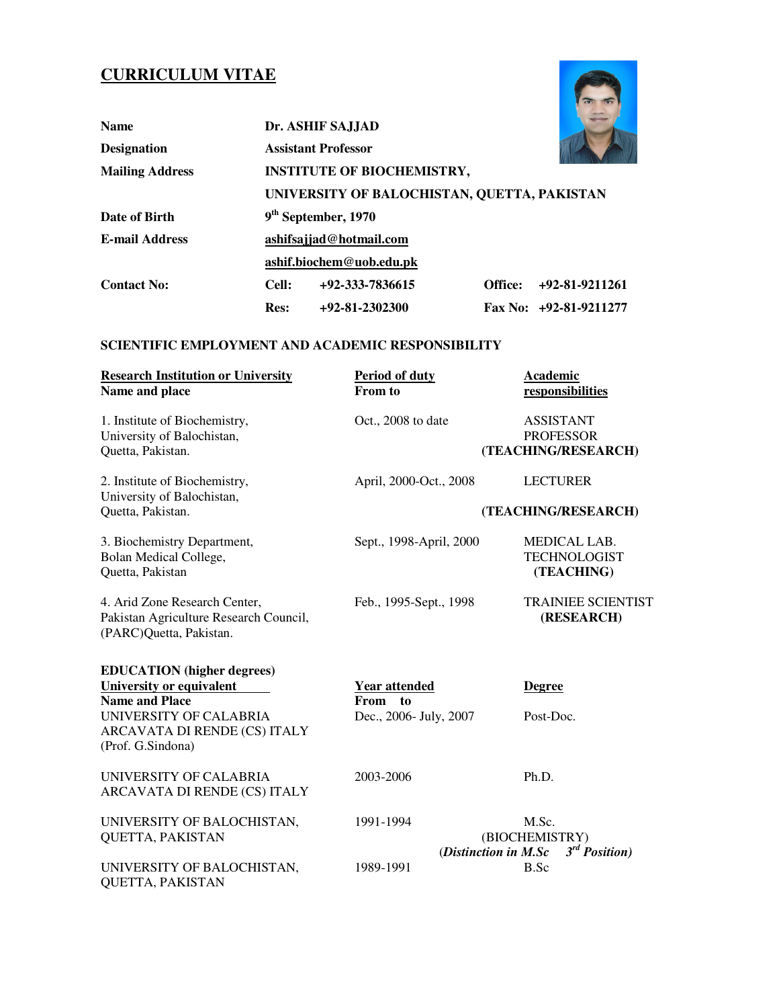# **CURRICULUM VITAE**

| <b>CURRICULUM VITAE</b> |                         |                                             |         |                          |  |
|-------------------------|-------------------------|---------------------------------------------|---------|--------------------------|--|
| <b>Name</b>             |                         | Dr. ASHIF SA.LIAD                           |         |                          |  |
| <b>Designation</b>      |                         | <b>Assistant Professor</b>                  |         |                          |  |
| <b>Mailing Address</b>  |                         | <b>INSTITUTE OF BIOCHEMISTRY,</b>           |         |                          |  |
|                         |                         | UNIVERSITY OF BALOCHISTAN, QUETTA, PAKISTAN |         |                          |  |
| Date of Birth           |                         | 9 <sup>th</sup> September, 1970             |         |                          |  |
| <b>E-mail Address</b>   | ashifsajjad@hotmail.com |                                             |         |                          |  |
|                         |                         | ashif.biochem@uob.edu.pk                    |         |                          |  |
| <b>Contact No:</b>      | Cell:                   | $+92-333-7836615$                           | Office: | +92-81-9211261           |  |
|                         | <b>Res:</b>             | $+92-81-2302300$                            |         | Fax No: $+92-81-9211277$ |  |

# **SCIENTIFIC EMPLOYMENT AND ACADEMIC RESPONSIBILITY**

| <b>Research Institution or University</b><br>Name and place                                                                                                           | <b>Period of duty</b><br>From to                          | Academic<br>responsibilities                                |
|-----------------------------------------------------------------------------------------------------------------------------------------------------------------------|-----------------------------------------------------------|-------------------------------------------------------------|
| 1. Institute of Biochemistry,<br>University of Balochistan,<br>Quetta, Pakistan.                                                                                      | Oct., 2008 to date                                        | <b>ASSISTANT</b><br><b>PROFESSOR</b><br>(TEACHING/RESEARCH) |
| 2. Institute of Biochemistry,<br>University of Balochistan,<br>Quetta, Pakistan.                                                                                      | April, 2000-Oct., 2008                                    | <b>LECTURER</b><br>(TEACHING/RESEARCH)                      |
| 3. Biochemistry Department,<br>Bolan Medical College,<br>Quetta, Pakistan                                                                                             | Sept., 1998-April, 2000                                   | MEDICAL LAB.<br><b>TECHNOLOGIST</b><br>(TEACHING)           |
| 4. Arid Zone Research Center,<br>Pakistan Agriculture Research Council,<br>(PARC)Quetta, Pakistan.                                                                    | Feb., 1995-Sept., 1998                                    | <b>TRAINIEE SCIENTIST</b><br>(RESEARCH)                     |
| <b>EDUCATION</b> (higher degrees)<br>University or equivalent<br><b>Name and Place</b><br>UNIVERSITY OF CALABRIA<br>ARCAVATA DI RENDE (CS) ITALY<br>(Prof. G.Sindona) | <b>Year attended</b><br>From to<br>Dec., 2006- July, 2007 | <b>Degree</b><br>Post-Doc.                                  |
| UNIVERSITY OF CALABRIA<br>ARCAVATA DI RENDE (CS) ITALY                                                                                                                | 2003-2006                                                 | Ph.D.                                                       |
| UNIVERSITY OF BALOCHISTAN,<br>QUETTA, PAKISTAN                                                                                                                        | 1991-1994<br>(Distinction in M.Sc                         | M.Sc.<br>(BIOCHEMISTRY)<br>$3^{rd}$ Position)               |
| UNIVERSITY OF BALOCHISTAN,<br>QUETTA, PAKISTAN                                                                                                                        | 1989-1991                                                 | B.Sc                                                        |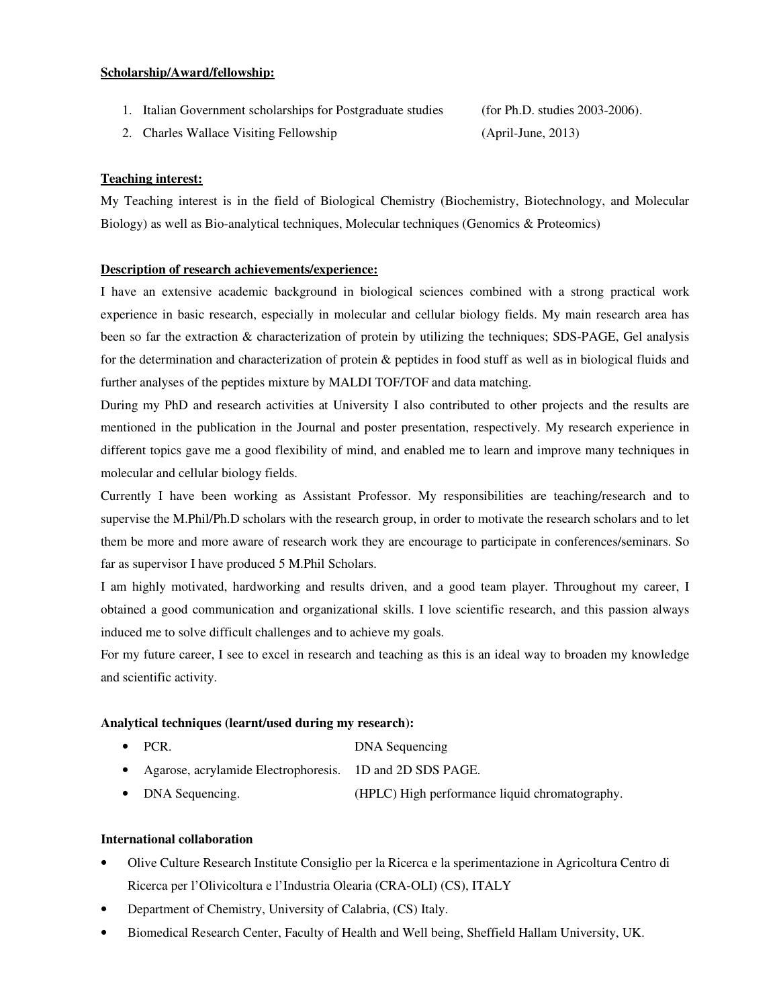#### **Scholarship/Award/fellowship:**

1. Italian Government scholarships for Postgraduate studies (for Ph.D. studies 2003-2006).

2. Charles Wallace Visiting Fellowship (April-June, 2013)

## **Teaching interest:**

My Teaching interest is in the field of Biological Chemistry (Biochemistry, Biotechnology, and Molecular Biology) as well as Bio-analytical techniques, Molecular techniques (Genomics & Proteomics)

#### **Description of research achievements/experience:**

I have an extensive academic background in biological sciences combined with a strong practical work experience in basic research, especially in molecular and cellular biology fields. My main research area has been so far the extraction & characterization of protein by utilizing the techniques; SDS-PAGE, Gel analysis for the determination and characterization of protein & peptides in food stuff as well as in biological fluids and further analyses of the peptides mixture by MALDI TOF/TOF and data matching.

During my PhD and research activities at University I also contributed to other projects and the results are mentioned in the publication in the Journal and poster presentation, respectively. My research experience in different topics gave me a good flexibility of mind, and enabled me to learn and improve many techniques in molecular and cellular biology fields.

Currently I have been working as Assistant Professor. My responsibilities are teaching/research and to supervise the M.Phil/Ph.D scholars with the research group, in order to motivate the research scholars and to let them be more and more aware of research work they are encourage to participate in conferences/seminars. So far as supervisor I have produced 5 M.Phil Scholars.

I am highly motivated, hardworking and results driven, and a good team player. Throughout my career, I obtained a good communication and organizational skills. I love scientific research, and this passion always induced me to solve difficult challenges and to achieve my goals.

For my future career, I see to excel in research and teaching as this is an ideal way to broaden my knowledge and scientific activity.

#### **Analytical techniques (learnt/used during my research):**

- PCR. DNA Sequencing
- Agarose, acrylamide Electrophoresis. 1D and 2D SDS PAGE.
- DNA Sequencing. (HPLC) High performance liquid chromatography.

## **International collaboration**

- Olive Culture Research Institute Consiglio per la Ricerca e la sperimentazione in Agricoltura Centro di Ricerca per l'Olivicoltura e l'Industria Olearia (CRA-OLI) (CS), ITALY
- Department of Chemistry, University of Calabria, (CS) Italy.
- Biomedical Research Center, Faculty of Health and Well being, Sheffield Hallam University, UK.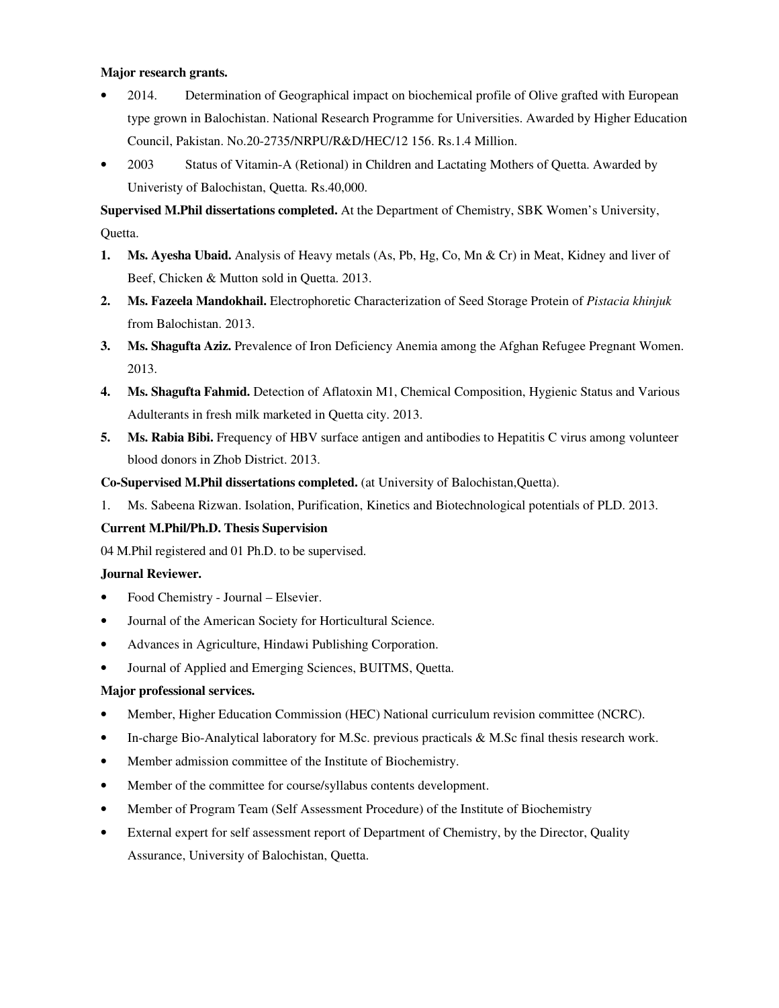## **Major research grants.**

- 2014. Determination of Geographical impact on biochemical profile of Olive grafted with European type grown in Balochistan. National Research Programme for Universities. Awarded by Higher Education Council, Pakistan. No.20-2735/NRPU/R&D/HEC/12 156. Rs.1.4 Million.
- 2003 Status of Vitamin-A (Retional) in Children and Lactating Mothers of Quetta. Awarded by Univeristy of Balochistan, Quetta. Rs.40,000.

**Supervised M.Phil dissertations completed.** At the Department of Chemistry, SBK Women's University, Quetta.

- **1. Ms. Ayesha Ubaid.** Analysis of Heavy metals (As, Pb, Hg, Co, Mn & Cr) in Meat, Kidney and liver of Beef, Chicken & Mutton sold in Quetta. 2013.
- **2. Ms. Fazeela Mandokhail.** Electrophoretic Characterization of Seed Storage Protein of *Pistacia khinjuk* from Balochistan. 2013.
- **3. Ms. Shagufta Aziz.** Prevalence of Iron Deficiency Anemia among the Afghan Refugee Pregnant Women. 2013.
- **4. Ms. Shagufta Fahmid.** Detection of Aflatoxin M1, Chemical Composition, Hygienic Status and Various Adulterants in fresh milk marketed in Quetta city. 2013.
- **5. Ms. Rabia Bibi.** Frequency of HBV surface antigen and antibodies to Hepatitis C virus among volunteer blood donors in Zhob District. 2013.

**Co-Supervised M.Phil dissertations completed.** (at University of Balochistan,Quetta).

1. Ms. Sabeena Rizwan. Isolation, Purification, Kinetics and Biotechnological potentials of PLD. 2013.

## **Current M.Phil/Ph.D. Thesis Supervision**

04 M.Phil registered and 01 Ph.D. to be supervised.

## **Journal Reviewer.**

- Food Chemistry Journal Elsevier.
- Journal of the American Society for Horticultural Science.
- Advances in Agriculture, Hindawi Publishing Corporation.
- Journal of Applied and Emerging Sciences, BUITMS, Quetta.

## **Major professional services.**

- Member, Higher Education Commission (HEC) National curriculum revision committee (NCRC).
- In-charge Bio-Analytical laboratory for M.Sc. previous practicals & M.Sc final thesis research work.
- Member admission committee of the Institute of Biochemistry.
- Member of the committee for course/syllabus contents development.
- Member of Program Team (Self Assessment Procedure) of the Institute of Biochemistry
- External expert for self assessment report of Department of Chemistry, by the Director, Quality Assurance, University of Balochistan, Quetta.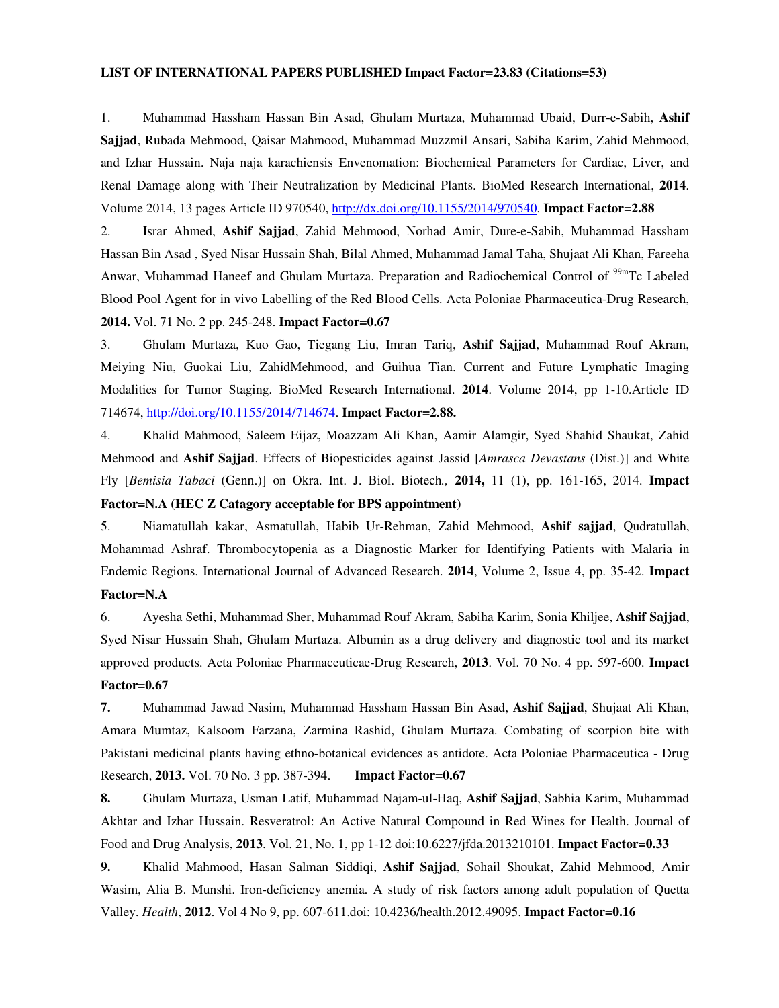#### **LIST OF INTERNATIONAL PAPERS PUBLISHED Impact Factor=23.83 (Citations=53)**

1. Muhammad Hassham Hassan Bin Asad, Ghulam Murtaza, Muhammad Ubaid, Durr-e-Sabih, **Ashif Sajjad**, Rubada Mehmood, Qaisar Mahmood, Muhammad Muzzmil Ansari, Sabiha Karim, Zahid Mehmood, and Izhar Hussain. Naja naja karachiensis Envenomation: Biochemical Parameters for Cardiac, Liver, and Renal Damage along with Their Neutralization by Medicinal Plants. BioMed Research International, **2014**. Volume 2014, 13 pages Article ID 970540, http://dx.doi.org/10.1155/2014/970540. **Impact Factor=2.88**

2. Israr Ahmed, **Ashif Sajjad**, Zahid Mehmood, Norhad Amir, Dure-e-Sabih, Muhammad Hassham Hassan Bin Asad , Syed Nisar Hussain Shah, Bilal Ahmed, Muhammad Jamal Taha, Shujaat Ali Khan, Fareeha Anwar, Muhammad Haneef and Ghulam Murtaza. Preparation and Radiochemical Control of <sup>99m</sup>Tc Labeled Blood Pool Agent for in vivo Labelling of the Red Blood Cells. Acta Poloniae Pharmaceutica-Drug Research, **2014.** Vol. 71 No. 2 pp. 245-248. **Impact Factor=0.67**

3. Ghulam Murtaza, Kuo Gao, Tiegang Liu, Imran Tariq, **Ashif Sajjad**, Muhammad Rouf Akram, Meiying Niu, Guokai Liu, ZahidMehmood, and Guihua Tian. Current and Future Lymphatic Imaging Modalities for Tumor Staging. BioMed Research International. **2014**. Volume 2014, pp 1-10.Article ID 714674, http://doi.org/10.1155/2014/714674. **Impact Factor=2.88.**

4. Khalid Mahmood, Saleem Eijaz, Moazzam Ali Khan, Aamir Alamgir, Syed Shahid Shaukat, Zahid Mehmood and **Ashif Sajjad**. Effects of Biopesticides against Jassid [*Amrasca Devastans* (Dist.)] and White Fly [*Bemisia Tabaci* (Genn.)] on Okra. Int. J. Biol. Biotech*.,* **2014,** 11 (1), pp. 161-165, 2014. **Impact Factor=N.A (HEC Z Catagory acceptable for BPS appointment)**

5. Niamatullah kakar, Asmatullah, Habib Ur-Rehman, Zahid Mehmood, **Ashif sajjad**, Qudratullah, Mohammad Ashraf. Thrombocytopenia as a Diagnostic Marker for Identifying Patients with Malaria in Endemic Regions. International Journal of Advanced Research. **2014**, Volume 2, Issue 4, pp. 35-42. **Impact** 

## **Factor=N.A**

6. Ayesha Sethi, Muhammad Sher, Muhammad Rouf Akram, Sabiha Karim, Sonia Khiljee, **Ashif Sajjad**, Syed Nisar Hussain Shah, Ghulam Murtaza. Albumin as a drug delivery and diagnostic tool and its market approved products. Acta Poloniae Pharmaceuticae-Drug Research, **2013**. Vol. 70 No. 4 pp. 597-600. **Impact Factor=0.67**

**7.** Muhammad Jawad Nasim, Muhammad Hassham Hassan Bin Asad, **Ashif Sajjad**, Shujaat Ali Khan, Amara Mumtaz, Kalsoom Farzana, Zarmina Rashid, Ghulam Murtaza. Combating of scorpion bite with Pakistani medicinal plants having ethno-botanical evidences as antidote. Acta Poloniae Pharmaceutica - Drug Research, **2013.** Vol. 70 No. 3 pp. 387-394. **Impact Factor=0.67** 

**8.** Ghulam Murtaza, Usman Latif, Muhammad Najam-ul-Haq, **Ashif Sajjad**, Sabhia Karim, Muhammad Akhtar and Izhar Hussain. Resveratrol: An Active Natural Compound in Red Wines for Health. Journal of Food and Drug Analysis, **2013**. Vol. 21, No. 1, pp 1-12 doi:10.6227/jfda.2013210101. **Impact Factor=0.33** 

**9.** Khalid Mahmood, Hasan Salman Siddiqi, **Ashif Sajjad**, Sohail Shoukat, Zahid Mehmood, Amir Wasim, Alia B. Munshi. Iron-deficiency anemia. A study of risk factors among adult population of Quetta Valley. *Health*, **2012**. Vol 4 No 9, pp. 607-611.doi: 10.4236/health.2012.49095. **Impact Factor=0.16**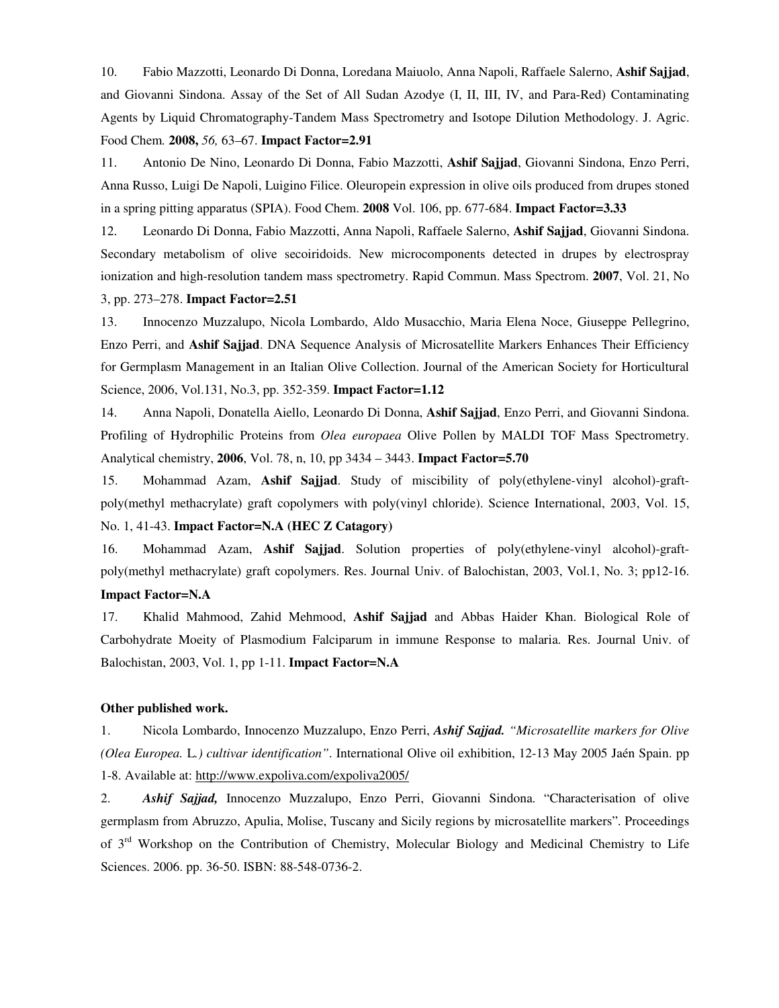10. Fabio Mazzotti, Leonardo Di Donna, Loredana Maiuolo, Anna Napoli, Raffaele Salerno, **Ashif Sajjad**, and Giovanni Sindona. Assay of the Set of All Sudan Azodye (I, II, III, IV, and Para-Red) Contaminating Agents by Liquid Chromatography-Tandem Mass Spectrometry and Isotope Dilution Methodology. J. Agric. Food Chem*.* **2008,** *56,* 63–67. **Impact Factor=2.91**

11. Antonio De Nino, Leonardo Di Donna, Fabio Mazzotti, **Ashif Sajjad**, Giovanni Sindona, Enzo Perri, Anna Russo, Luigi De Napoli, Luigino Filice. Oleuropein expression in olive oils produced from drupes stoned in a spring pitting apparatus (SPIA). Food Chem. **2008** Vol. 106, pp. 677-684. **Impact Factor=3.33**

12. Leonardo Di Donna, Fabio Mazzotti, Anna Napoli, Raffaele Salerno, **Ashif Sajjad**, Giovanni Sindona. Secondary metabolism of olive secoiridoids. New microcomponents detected in drupes by electrospray ionization and high-resolution tandem mass spectrometry. Rapid Commun. Mass Spectrom. **2007**, Vol. 21, No 3, pp. 273–278. **Impact Factor=2.51**

13. Innocenzo Muzzalupo, Nicola Lombardo, Aldo Musacchio, Maria Elena Noce, Giuseppe Pellegrino, Enzo Perri, and **Ashif Sajjad**. DNA Sequence Analysis of Microsatellite Markers Enhances Their Efficiency for Germplasm Management in an Italian Olive Collection. Journal of the American Society for Horticultural Science, 2006, Vol.131, No.3, pp. 352-359. **Impact Factor=1.12**

14. Anna Napoli, Donatella Aiello, Leonardo Di Donna, **Ashif Sajjad**, Enzo Perri, and Giovanni Sindona. Profiling of Hydrophilic Proteins from *Olea europaea* Olive Pollen by MALDI TOF Mass Spectrometry. Analytical chemistry, **2006**, Vol. 78, n, 10, pp 3434 – 3443. **Impact Factor=5.70**

15. Mohammad Azam, **Ashif Sajjad**. Study of miscibility of poly(ethylene-vinyl alcohol)-graftpoly(methyl methacrylate) graft copolymers with poly(vinyl chloride). Science International, 2003, Vol. 15, No. 1, 41-43. **Impact Factor=N.A (HEC Z Catagory)**

16. Mohammad Azam, **Ashif Sajjad**. Solution properties of poly(ethylene-vinyl alcohol)-graftpoly(methyl methacrylate) graft copolymers. Res. Journal Univ. of Balochistan, 2003, Vol.1, No. 3; pp12-16.

## **Impact Factor=N.A**

17. Khalid Mahmood, Zahid Mehmood, **Ashif Sajjad** and Abbas Haider Khan. Biological Role of Carbohydrate Moeity of Plasmodium Falciparum in immune Response to malaria. Res. Journal Univ. of Balochistan, 2003, Vol. 1, pp 1-11. **Impact Factor=N.A**

#### **Other published work.**

1. Nicola Lombardo, Innocenzo Muzzalupo, Enzo Perri, *Ashif Sajjad. "Microsatellite markers for Olive (Olea Europea.* L*.) cultivar identification"*. International Olive oil exhibition, 12-13 May 2005 Jaén Spain. pp 1-8. Available at: http://www.expoliva.com/expoliva2005/

2. *Ashif Sajjad,* Innocenzo Muzzalupo, Enzo Perri, Giovanni Sindona. "Characterisation of olive germplasm from Abruzzo, Apulia, Molise, Tuscany and Sicily regions by microsatellite markers". Proceedings of 3<sup>rd</sup> Workshop on the Contribution of Chemistry, Molecular Biology and Medicinal Chemistry to Life Sciences. 2006. pp. 36-50. ISBN: 88-548-0736-2.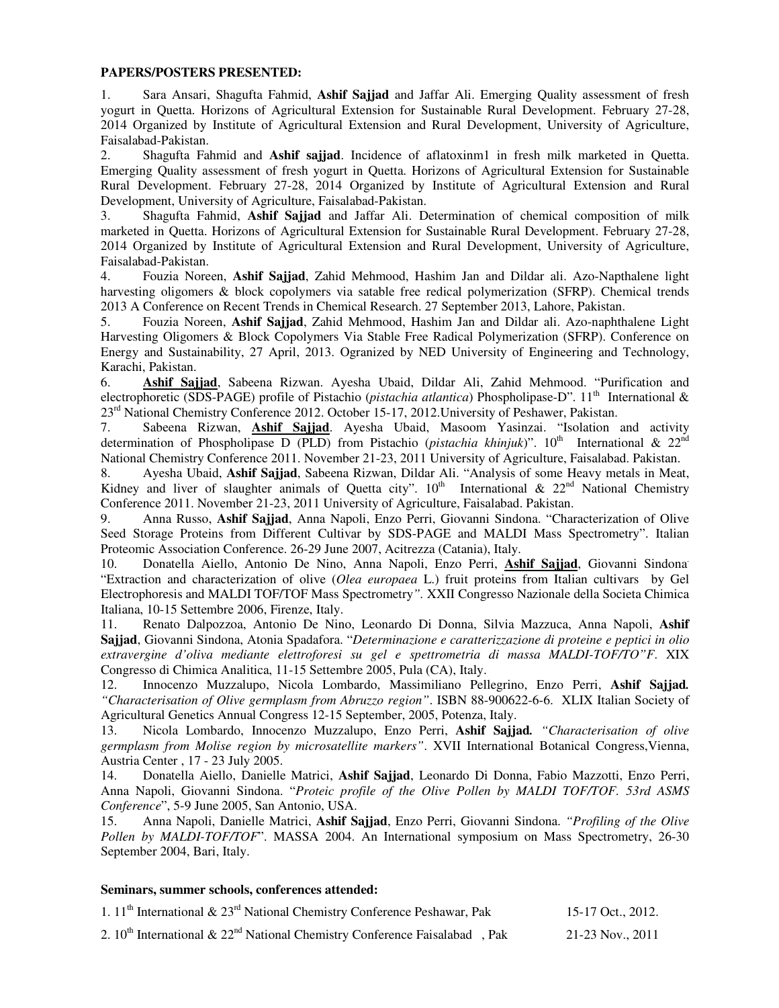#### **PAPERS/POSTERS PRESENTED:**

1. Sara Ansari, Shagufta Fahmid, **Ashif Sajjad** and Jaffar Ali. Emerging Quality assessment of fresh yogurt in Quetta. Horizons of Agricultural Extension for Sustainable Rural Development. February 27-28, 2014 Organized by Institute of Agricultural Extension and Rural Development, University of Agriculture, Faisalabad-Pakistan.

2. Shagufta Fahmid and **Ashif sajjad**. Incidence of aflatoxinm1 in fresh milk marketed in Quetta. Emerging Quality assessment of fresh yogurt in Quetta. Horizons of Agricultural Extension for Sustainable Rural Development. February 27-28, 2014 Organized by Institute of Agricultural Extension and Rural Development, University of Agriculture, Faisalabad-Pakistan.

3. Shagufta Fahmid, **Ashif Sajjad** and Jaffar Ali. Determination of chemical composition of milk marketed in Quetta. Horizons of Agricultural Extension for Sustainable Rural Development. February 27-28, 2014 Organized by Institute of Agricultural Extension and Rural Development, University of Agriculture, Faisalabad-Pakistan.

4. Fouzia Noreen, **Ashif Sajjad**, Zahid Mehmood, Hashim Jan and Dildar ali. Azo-Napthalene light harvesting oligomers & block copolymers via satable free redical polymerization (SFRP). Chemical trends 2013 A Conference on Recent Trends in Chemical Research. 27 September 2013, Lahore, Pakistan.

5. Fouzia Noreen, **Ashif Sajjad**, Zahid Mehmood, Hashim Jan and Dildar ali. Azo-naphthalene Light Harvesting Oligomers & Block Copolymers Via Stable Free Radical Polymerization (SFRP). Conference on Energy and Sustainability, 27 April, 2013. Ogranized by NED University of Engineering and Technology, Karachi, Pakistan.

6. **Ashif Sajjad**, Sabeena Rizwan. Ayesha Ubaid, Dildar Ali, Zahid Mehmood. "Purification and electrophoretic (SDS-PAGE) profile of Pistachio (*pistachia atlantica*) Phospholipase-D". 11th International & 23<sup>rd</sup> National Chemistry Conference 2012. October 15-17, 2012. University of Peshawer, Pakistan.

7. Sabeena Rizwan, **Ashif Sajjad**. Ayesha Ubaid, Masoom Yasinzai. "Isolation and activity determination of Phospholipase D (PLD) from Pistachio (*pistachia khinjuk*)". 10<sup>th</sup> International & 22<sup>nd</sup> National Chemistry Conference 2011. November 21-23, 2011 University of Agriculture, Faisalabad. Pakistan.

8. Ayesha Ubaid, **Ashif Sajjad**, Sabeena Rizwan, Dildar Ali. "Analysis of some Heavy metals in Meat, Kidney and liver of slaughter animals of Quetta city".  $10<sup>th</sup>$  International &  $22<sup>nd</sup>$  National Chemistry Conference 2011. November 21-23, 2011 University of Agriculture, Faisalabad. Pakistan.

9. Anna Russo, **Ashif Sajjad**, Anna Napoli, Enzo Perri, Giovanni Sindona. "Characterization of Olive Seed Storage Proteins from Different Cultivar by SDS-PAGE and MALDI Mass Spectrometry". Italian Proteomic Association Conference. 26-29 June 2007, Acitrezza (Catania), Italy.

10. Donatella Aiello, Antonio De Nino, Anna Napoli, Enzo Perri, **Ashif Sajjad**, Giovanni Sindona. "Extraction and characterization of olive (*Olea europaea* L.) fruit proteins from Italian cultivars by Gel Electrophoresis and MALDI TOF/TOF Mass Spectrometry*".* XXII Congresso Nazionale della Societa Chimica Italiana, 10-15 Settembre 2006, Firenze, Italy.

11. Renato Dalpozzoa, Antonio De Nino, Leonardo Di Donna, Silvia Mazzuca, Anna Napoli, **Ashif Sajjad**, Giovanni Sindona, Atonia Spadafora. "*Determinazione e caratterizzazione di proteine e peptici in olio extravergine d'oliva mediante elettroforesi su gel e spettrometria di massa MALDI-TOF/TO"F*. XIX Congresso di Chimica Analitica, 11-15 Settembre 2005, Pula (CA), Italy.

12. Innocenzo Muzzalupo, Nicola Lombardo, Massimiliano Pellegrino, Enzo Perri, **Ashif Sajjad***. "Characterisation of Olive germplasm from Abruzzo region"*. ISBN 88-900622-6-6. XLIX Italian Society of Agricultural Genetics Annual Congress 12-15 September, 2005, Potenza, Italy.

13. Nicola Lombardo, Innocenzo Muzzalupo, Enzo Perri, **Ashif Sajjad***. "Characterisation of olive germplasm from Molise region by microsatellite markers"*. XVII International Botanical Congress,Vienna, Austria Center , 17 - 23 July 2005.

14. Donatella Aiello, Danielle Matrici, **Ashif Sajjad**, Leonardo Di Donna, Fabio Mazzotti, Enzo Perri, Anna Napoli, Giovanni Sindona. "*Proteic profile of the Olive Pollen by MALDI TOF/TOF. 53rd ASMS Conference*", 5-9 June 2005, San Antonio, USA.

15. Anna Napoli, Danielle Matrici, **Ashif Sajjad**, Enzo Perri, Giovanni Sindona. *"Profiling of the Olive Pollen by MALDI-TOF/TOF*". MASSA 2004. An International symposium on Mass Spectrometry, 26-30 September 2004, Bari, Italy.

#### **Seminars, summer schools, conferences attended:**

| 1. 11 <sup>th</sup> International & $23rd$ National Chemistry Conference Peshawar, Pak |  |  | 15-17 Oct., 2012. |
|----------------------------------------------------------------------------------------|--|--|-------------------|
|                                                                                        |  |  |                   |

2.  $10^{th}$  International &  $22^{nd}$  National Chemistry Conference Faisalabad, Pak 21-23 Nov., 2011